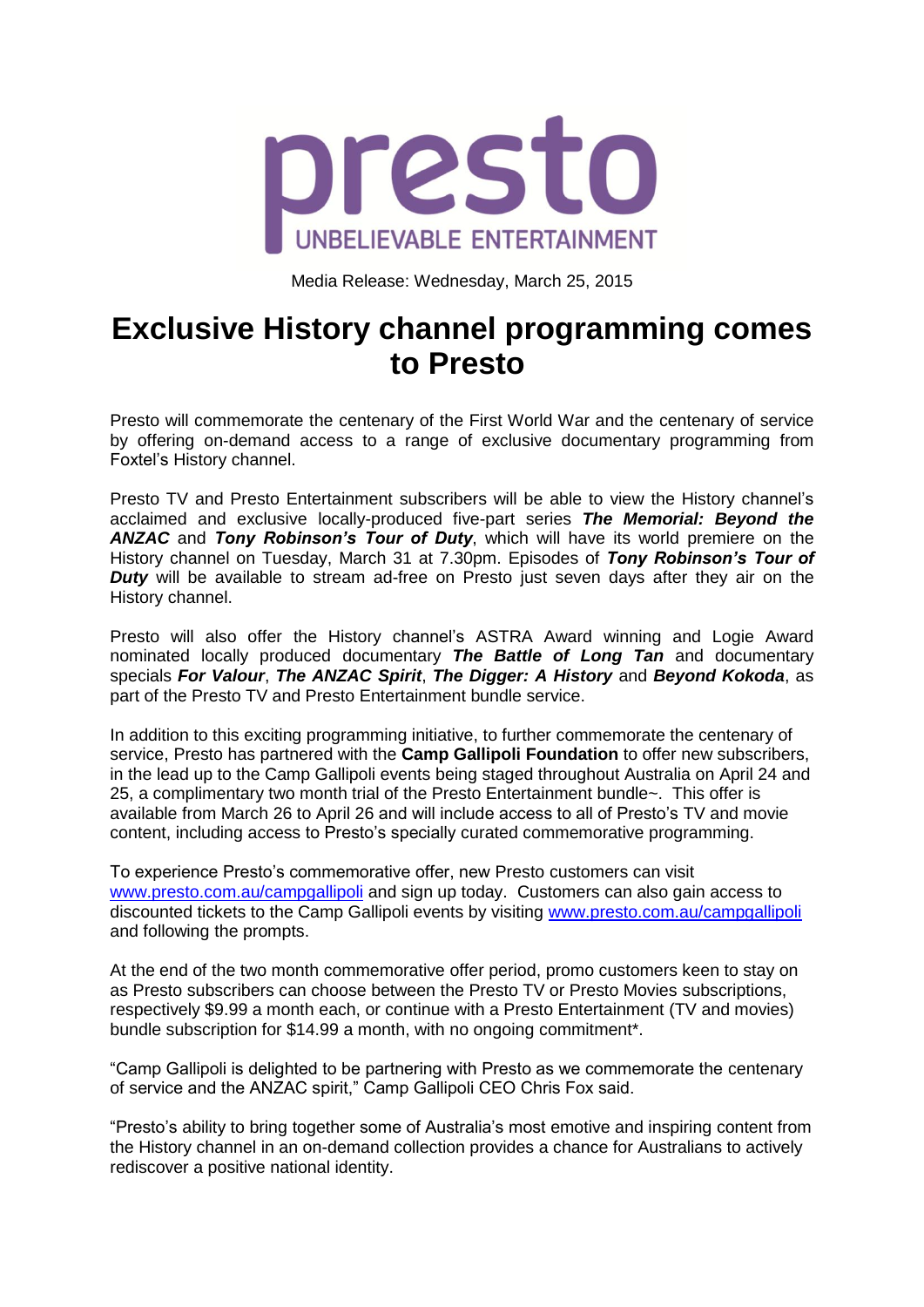

Media Release: Wednesday, March 25, 2015

# **Exclusive History channel programming comes to Presto**

Presto will commemorate the centenary of the First World War and the centenary of service by offering on-demand access to a range of exclusive documentary programming from Foxtel"s History channel.

Presto TV and Presto Entertainment subscribers will be able to view the History channel"s acclaimed and exclusive locally-produced five-part series *The Memorial: Beyond the ANZAC* and *Tony Robinson's Tour of Duty*, which will have its world premiere on the History channel on Tuesday, March 31 at 7.30pm. Episodes of *Tony Robinson's Tour of Duty* will be available to stream ad-free on Presto just seven days after they air on the History channel.

Presto will also offer the History channel's ASTRA Award winning and Logie Award nominated locally produced documentary *The Battle of Long Tan* and documentary specials *For Valour*, *The ANZAC Spirit*, *The Digger: A History* and *Beyond Kokoda*, as part of the Presto TV and Presto Entertainment bundle service.

In addition to this exciting programming initiative, to further commemorate the centenary of service, Presto has partnered with the **Camp Gallipoli Foundation** to offer new subscribers, in the lead up to the Camp Gallipoli events being staged throughout Australia on April 24 and 25, a complimentary two month trial of the Presto Entertainment bundle~. This offer is available from March 26 to April 26 and will include access to all of Presto"s TV and movie content, including access to Presto"s specially curated commemorative programming.

To experience Presto"s commemorative offer, new Presto customers can visit [www.presto.com.au/campgallipoli](http://www.presto.com.au/campgallipoli) and sign up today. Customers can also gain access to discounted tickets to the Camp Gallipoli events by visiting [www.presto.com.au/campgallipoli](http://www.presto.com.au/campgallipoli) and following the prompts.

At the end of the two month commemorative offer period, promo customers keen to stay on as Presto subscribers can choose between the Presto TV or Presto Movies subscriptions, respectively \$9.99 a month each, or continue with a Presto Entertainment (TV and movies) bundle subscription for \$14.99 a month, with no ongoing commitment\*.

"Camp Gallipoli is delighted to be partnering with Presto as we commemorate the centenary of service and the ANZAC spirit," Camp Gallipoli CEO Chris Fox said.

"Presto"s ability to bring together some of Australia"s most emotive and inspiring content from the History channel in an on-demand collection provides a chance for Australians to actively rediscover a positive national identity.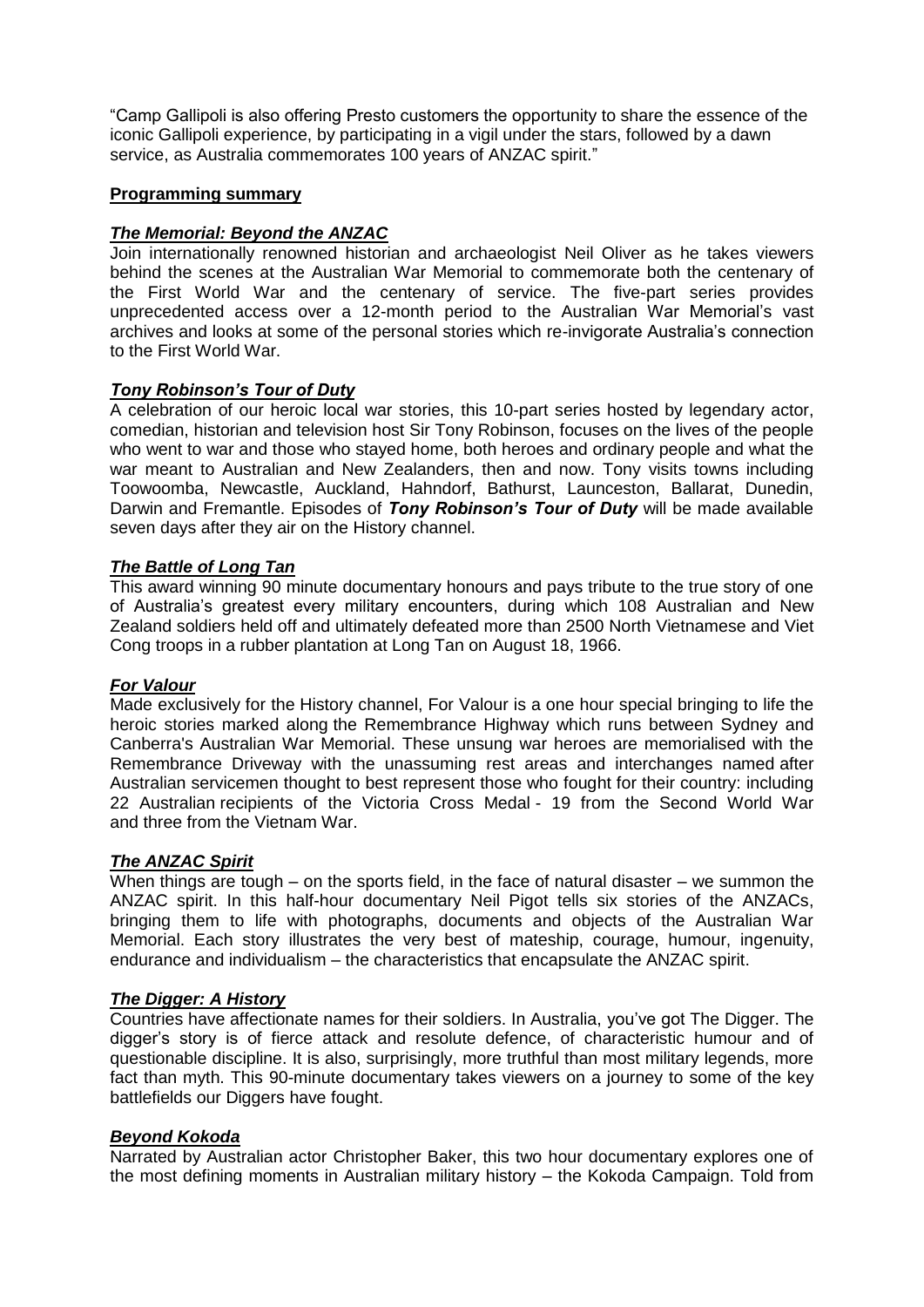"Camp Gallipoli is also offering Presto customers the opportunity to share the essence of the iconic Gallipoli experience, by participating in a vigil under the stars, followed by a dawn service, as Australia commemorates 100 years of ANZAC spirit."

## **Programming summary**

## *The Memorial: Beyond the ANZAC*

Join internationally renowned historian and archaeologist Neil Oliver as he takes viewers behind the scenes at the Australian War Memorial to commemorate both the centenary of the First World War and the centenary of service. The five-part series provides unprecedented access over a 12-month period to the Australian War Memorial's vast archives and looks at some of the personal stories which re-invigorate Australia"s connection to the First World War.

## *Tony Robinson's Tour of Duty*

A celebration of our heroic local war stories, this 10-part series hosted by legendary actor, comedian, historian and television host Sir Tony Robinson, focuses on the lives of the people who went to war and those who stayed home, both heroes and ordinary people and what the war meant to Australian and New Zealanders, then and now. Tony visits towns including Toowoomba, Newcastle, Auckland, Hahndorf, Bathurst, Launceston, Ballarat, Dunedin, Darwin and Fremantle. Episodes of *Tony Robinson's Tour of Duty* will be made available seven days after they air on the History channel.

## *The Battle of Long Tan*

This award winning 90 minute documentary honours and pays tribute to the true story of one of Australia"s greatest every military encounters, during which 108 Australian and New Zealand soldiers held off and ultimately defeated more than 2500 North Vietnamese and Viet Cong troops in a rubber plantation at Long Tan on August 18, 1966.

## *For Valour*

Made exclusively for the History channel, For Valour is a one hour special bringing to life the heroic stories marked along the Remembrance Highway which runs between Sydney and Canberra's Australian War Memorial. These unsung war heroes are memorialised with the Remembrance Driveway with the unassuming rest areas and interchanges named after Australian servicemen thought to best represent those who fought for their country: including 22 Australian recipients of the Victoria Cross Medal - 19 from the Second World War and three from the Vietnam War.

#### *The ANZAC Spirit*

When things are tough – on the sports field, in the face of natural disaster – we summon the ANZAC spirit. In this half-hour documentary Neil Pigot tells six stories of the ANZACs, bringing them to life with photographs, documents and objects of the Australian War Memorial. Each story illustrates the very best of mateship, courage, humour, ingenuity, endurance and individualism – the characteristics that encapsulate the ANZAC spirit.

#### *The Digger: A History*

Countries have affectionate names for their soldiers. In Australia, you"ve got The Digger. The digger"s story is of fierce attack and resolute defence, of characteristic humour and of questionable discipline. It is also, surprisingly, more truthful than most military legends, more fact than myth. This 90-minute documentary takes viewers on a journey to some of the key battlefields our Diggers have fought.

#### *Beyond Kokoda*

Narrated by Australian actor Christopher Baker, this two hour documentary explores one of the most defining moments in Australian military history – the Kokoda Campaign. Told from